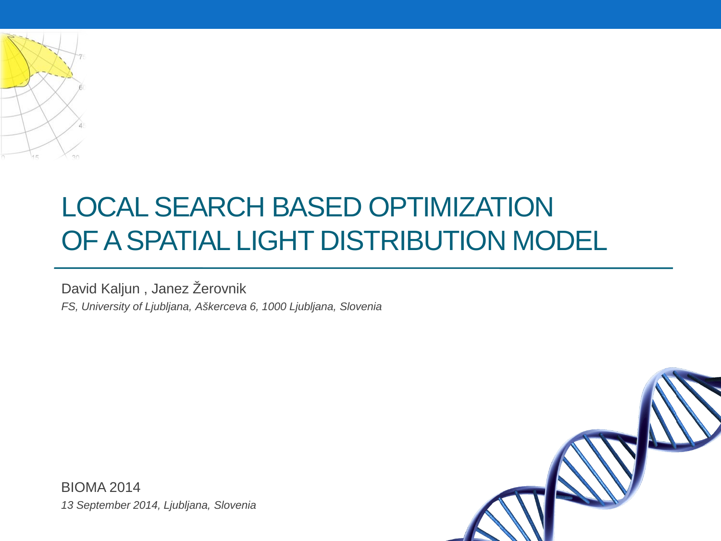

#### LOCAL SEARCH BASED OPTIMIZATION OF A SPATIAL LIGHT DISTRIBUTION MODEL

David Kaljun , Janez Žerovnik *FS, University of Ljubljana, Aškerceva 6, 1000 Ljubljana, Slovenia*



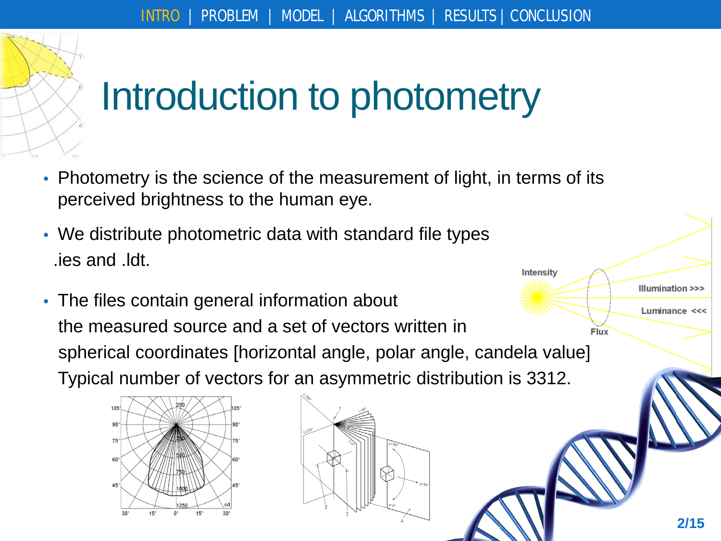

# Introduction to photometry

- Photometry is the science of the measurement of light, in terms of its perceived brightness to the human eye.
- We distribute photometric data with standard file types .ies and .ldt.
- The files contain general information about the measured source and a set of vectors written in Flux spherical coordinates [horizontal angle, polar angle, candela value] Typical number of vectors for an asymmetric distribution is 3312.



Intensity

Illumination >>>

Luminance <<<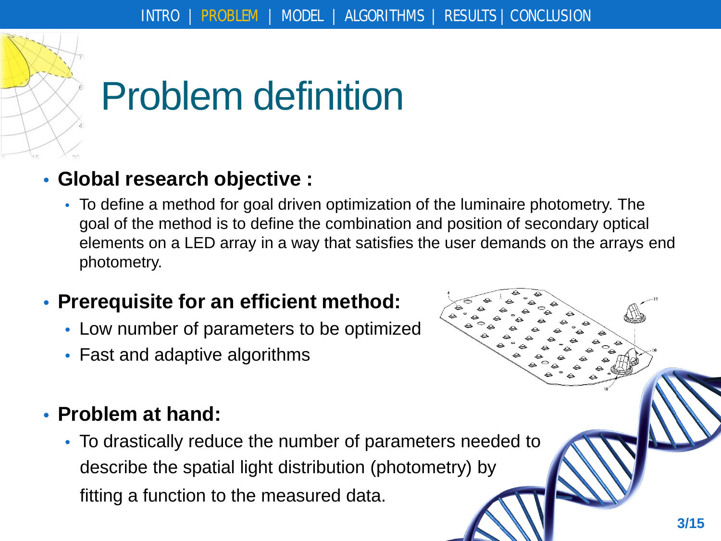

# Problem definition

#### • **Global research objective :**

• To define a method for goal driven optimization of the luminaire photometry. The goal of the method is to define the combination and position of secondary optical elements on a LED array in a way that satisfies the user demands on the arrays end photometry.

#### • **Prerequisite for an efficient method:**

- Low number of parameters to be optimized
- Fast and adaptive algorithms

#### • **Problem at hand:**

• To drastically reduce the number of parameters needed to describe the spatial light distribution (photometry) by fitting a function to the measured data.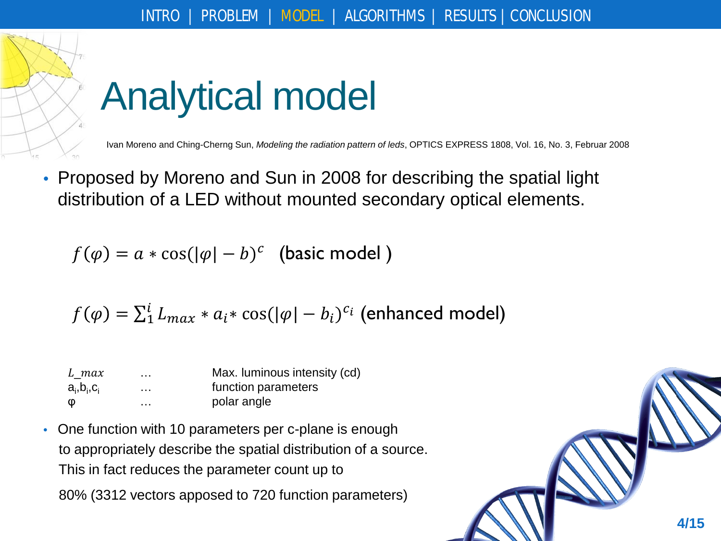

# Analytical model

Ivan Moreno and Ching-Cherng Sun, *Modeling the radiation pattern of leds*, OPTICS EXPRESS 1808, Vol. 16, No. 3, Februar 2008

• Proposed by Moreno and Sun in 2008 for describing the spatial light distribution of a LED without mounted secondary optical elements.

 $f(\varphi) = a * \cos(|\varphi| - b)^c$  (basic model)

$$
f(\varphi) = \sum_{i=1}^{i} L_{max} * a_i * \cos(|\varphi| - b_i)^{c_i}
$$
 (enhanced model)

| L max                 | $\cdots$             | Max. luminous intensity (cd) |  |  |
|-----------------------|----------------------|------------------------------|--|--|
| $a_i$ , $b_i$ , $c_i$ | $\sim$ $\sim$ $\sim$ | function parameters          |  |  |
| Φ                     | .                    | polar angle                  |  |  |

• One function with 10 parameters per c-plane is enough to appropriately describe the spatial distribution of a source. This in fact reduces the parameter count up to 80% (3312 vectors apposed to 720 function parameters)

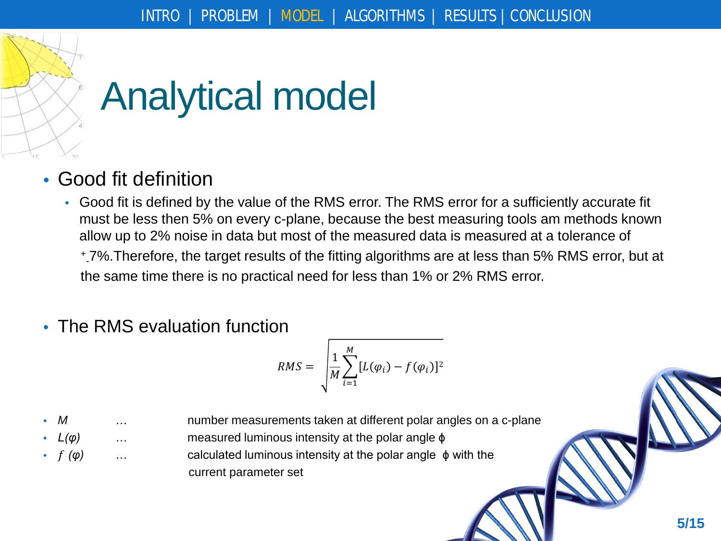

# Analytical model

- Good fit definition
	- Good fit is defined by the value of the RMS error. The RMS error for a sufficiently accurate fit must be less then 5% on every c-plane, because the best measuring tools am methods known allow up to 2% noise in data but most of the measured data is measured at a tolerance of + - 7%.Therefore, the target results of the fitting algorithms are at less than 5% RMS error, but at the same time there is no practical need for less than 1% or 2% RMS error.
- The RMS evaluation function

$$
RMS = \sqrt{\frac{1}{M} \sum_{i=1}^{M} [L(\varphi_i) - f(\varphi_i)]^2}
$$

M 2.1. **M** 2.1. *M* 2.1. *M* 2.1 *M* 2.1 *M* 2.1 *M* 2.1 *M* 2.1 *M* 2.1 *M* 2.1 *M* 2.1 *M* 3.1 *M* 3.1 *M* 3.1 *M* 3.1 *M* 3.1 *M* 3.1 *M* 3.1 *M* 3.1 *M* 3.1 *M* 3.1 *M* 3.1 *M* 

- *L(φ)* … measured luminous intensity at the polar angle ϕ
- *(φ)* … calculated luminous intensity at the polar angle ϕ with the current parameter set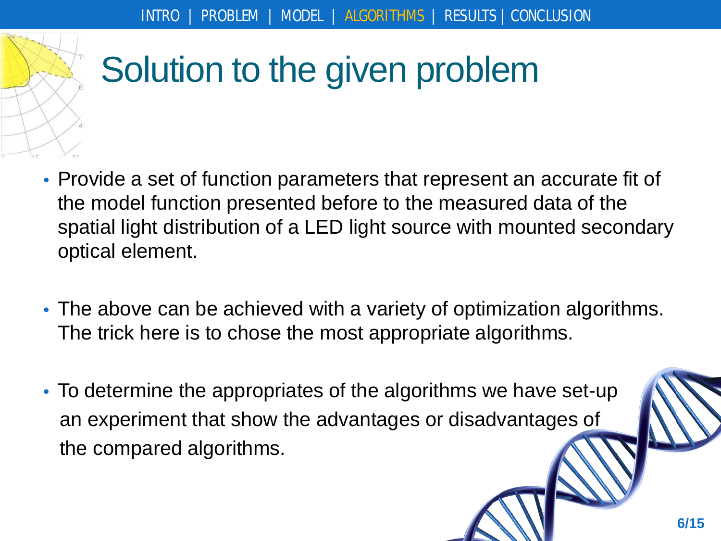

## Solution to the given problem

- Provide a set of function parameters that represent an accurate fit of the model function presented before to the measured data of the spatial light distribution of a LED light source with mounted secondary optical element.
- The above can be achieved with a variety of optimization algorithms. The trick here is to chose the most appropriate algorithms.
- To determine the appropriates of the algorithms we have set-up an experiment that show the advantages or disadvantages of the compared algorithms.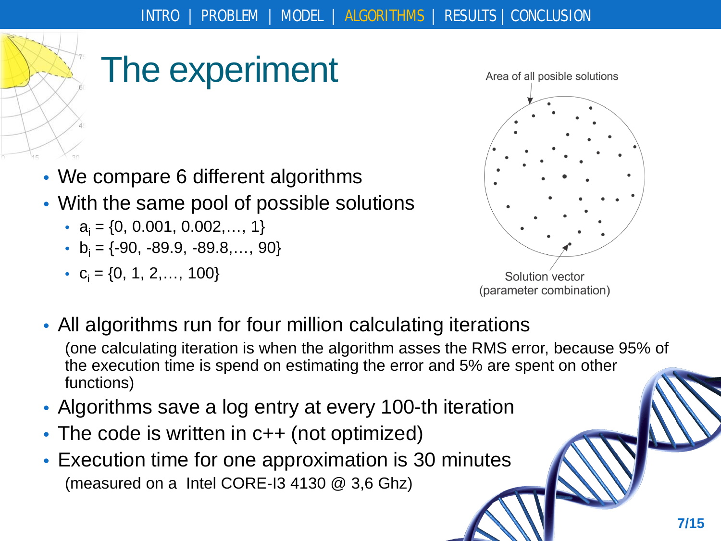

### The experiment

- We compare 6 different algorithms
- With the same pool of possible solutions
	- $a_i = \{0, 0.001, 0.002, \ldots, 1\}$
	- $b_i = \{-90, -89.9, -89.8, ..., 90\}$
	- $c_i = \{0, 1, 2, \ldots, 100\}$



Solution vector (parameter combination)

- All algorithms run for four million calculating iterations (one calculating iteration is when the algorithm asses the RMS error, because 95% of the execution time is spend on estimating the error and 5% are spent on other functions)
- Algorithms save a log entry at every 100-th iteration
- The code is written in c++ (not optimized)
- Execution time for one approximation is 30 minutes (measured on a Intel CORE-I3 4130 @ 3,6 Ghz)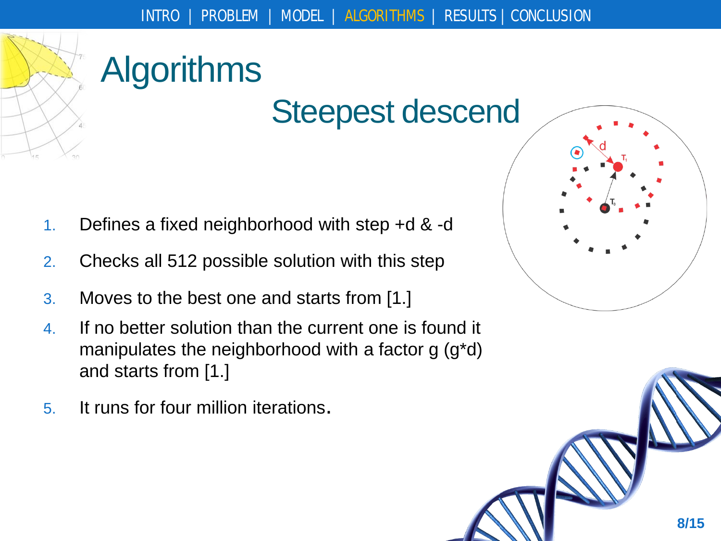

#### Steepest descend

- 1. Defines a fixed neighborhood with step +d & -d
- 2. Checks all 512 possible solution with this step
- 3. Moves to the best one and starts from [1.]
- 4. If no better solution than the current one is found it manipulates the neighborhood with a factor g (g\*d) and starts from [1.]
- 5. It runs for four million iterations.

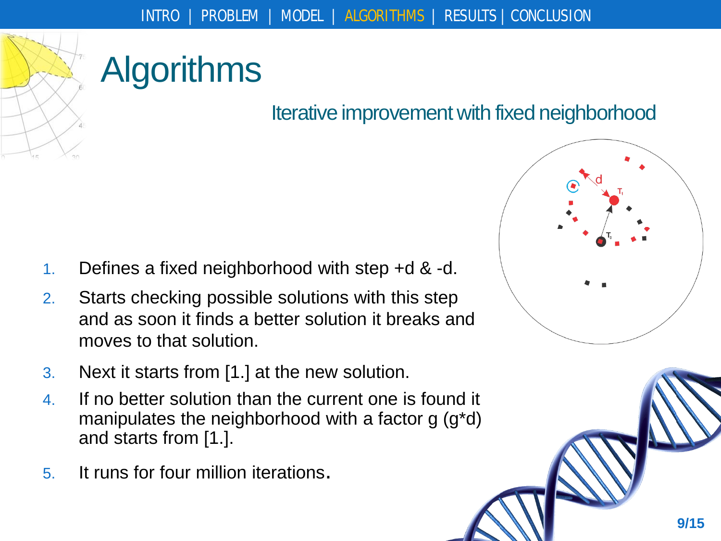

#### Iterative improvement with fixed neighborhood

- 1. Defines a fixed neighborhood with step +d & -d.
- 2. Starts checking possible solutions with this step and as soon it finds a better solution it breaks and moves to that solution.
- 3. Next it starts from [1.] at the new solution.
- 4. If no better solution than the current one is found it manipulates the neighborhood with a factor g (g\*d) and starts from [1.].
- 5. It runs for four million iterations.

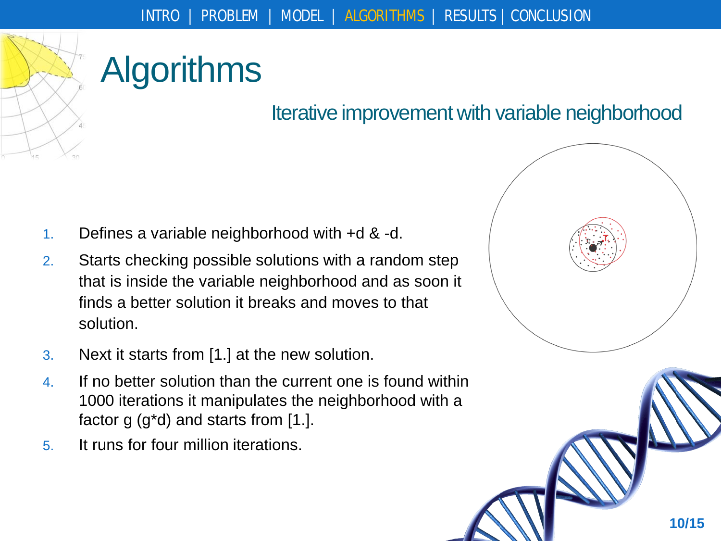

#### Iterative improvement with variable neighborhood

- 1. Defines a variable neighborhood with +d & -d.
- 2. Starts checking possible solutions with a random step that is inside the variable neighborhood and as soon it finds a better solution it breaks and moves to that solution.
- 3. Next it starts from [1.] at the new solution.
- 4. If no better solution than the current one is found within 1000 iterations it manipulates the neighborhood with a factor g  $(g^*d)$  and starts from [1.].
- 5. It runs for four million iterations.

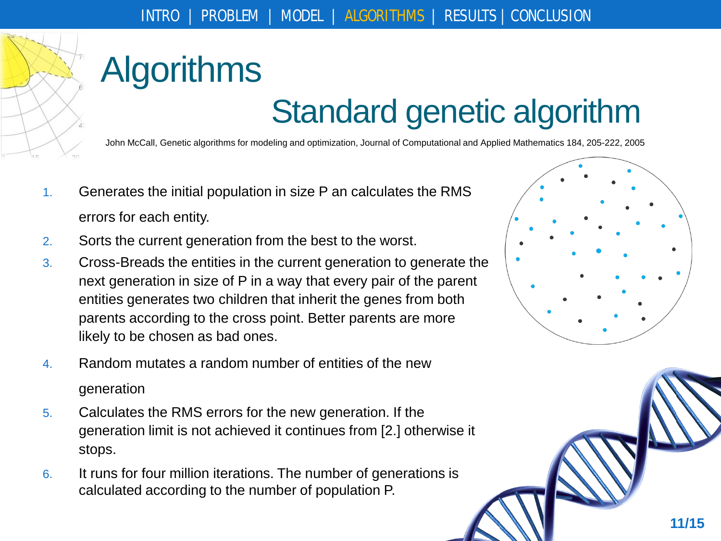

## Standard genetic algorithm

John McCall, Genetic algorithms for modeling and optimization, Journal of Computational and Applied Mathematics 184, 205-222, 2005

- 1. Generates the initial population in size P an calculates the RMS errors for each entity.
- 2. Sorts the current generation from the best to the worst.
- 3. Cross-Breads the entities in the current generation to generate the next generation in size of P in a way that every pair of the parent entities generates two children that inherit the genes from both parents according to the cross point. Better parents are more likely to be chosen as bad ones.
- 4. Random mutates a random number of entities of the new generation
- 5. Calculates the RMS errors for the new generation. If the generation limit is not achieved it continues from [2.] otherwise it stops.
- 6. It runs for four million iterations. The number of generations is calculated according to the number of population P.

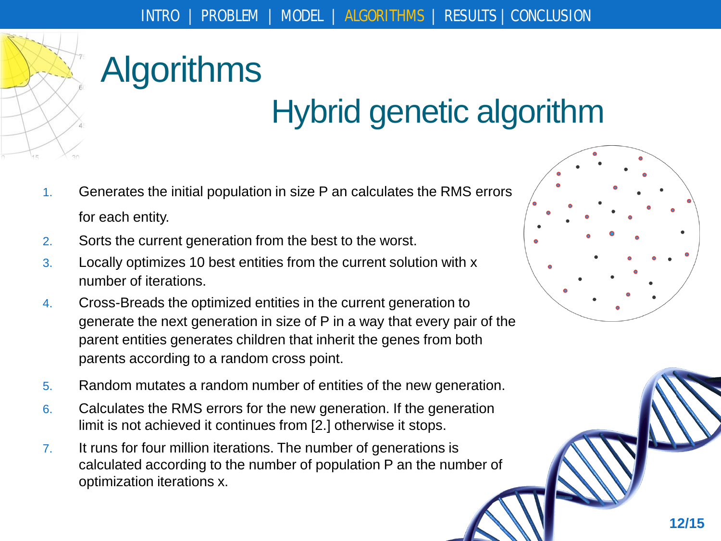

## Hybrid genetic algorithm

- 1. Generates the initial population in size P an calculates the RMS errors for each entity.
- 2. Sorts the current generation from the best to the worst.
- 3. Locally optimizes 10 best entities from the current solution with x number of iterations.
- 4. Cross-Breads the optimized entities in the current generation to generate the next generation in size of P in a way that every pair of the parent entities generates children that inherit the genes from both parents according to a random cross point.
- 5. Random mutates a random number of entities of the new generation.
- 6. Calculates the RMS errors for the new generation. If the generation limit is not achieved it continues from [2.] otherwise it stops.
- 7. It runs for four million iterations. The number of generations is calculated according to the number of population P an the number of optimization iterations x.

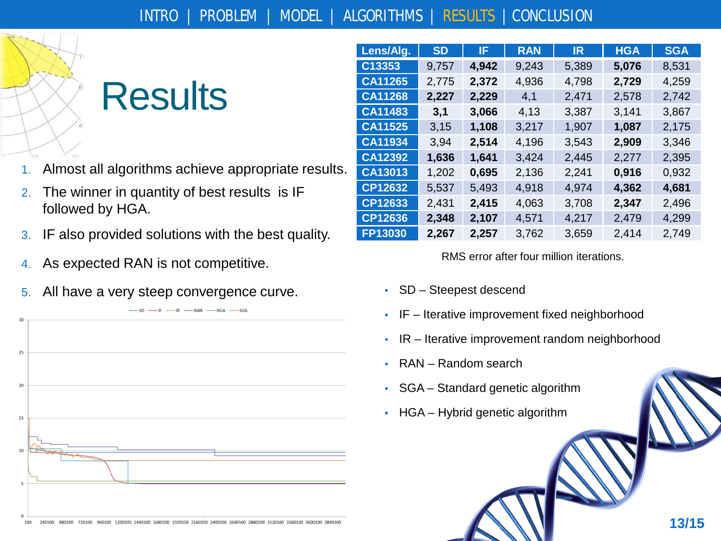

### **Results**

- 1. Almost all algorithms achieve appropriate results.
- 2. The winner in quantity of best results is IF followed by HGA.
- 3. IF also provided solutions with the best quality.
- 4. As expected RAN is not competitive.
- 5. All have a very steep convergence curve. SD Steepest descend



| Lens/Alg. | <b>SD</b> | IF.   | <b>RAN</b> | IR.   | <b>HGA</b> | <b>SGA</b> |
|-----------|-----------|-------|------------|-------|------------|------------|
| C13353    | 9,757     | 4,942 | 9,243      | 5,389 | 5,076      | 8,531      |
| CA11265   | 2,775     | 2,372 | 4,936      | 4,798 | 2,729      | 4,259      |
| CA11268   | 2,227     | 2,229 | 4,1        | 2,471 | 2,578      | 2,742      |
| CA11483   | 3,1       | 3,066 | 4,13       | 3,387 | 3,141      | 3,867      |
| CA11525   | 3,15      | 1,108 | 3,217      | 1,907 | 1,087      | 2,175      |
| CA11934   | 3,94      | 2,514 | 4,196      | 3,543 | 2,909      | 3,346      |
| CA12392   | 1,636     | 1,641 | 3,424      | 2,445 | 2,277      | 2,395      |
| CA13013   | 1,202     | 0,695 | 2,136      | 2,241 | 0,916      | 0,932      |
| CP12632   | 5,537     | 5,493 | 4,918      | 4,974 | 4,362      | 4,681      |
| CP12633   | 2,431     | 2,415 | 4,063      | 3,708 | 2,347      | 2,496      |
| CP12636   | 2,348     | 2,107 | 4,571      | 4,217 | 2,479      | 4,299      |
| FP13030   | 2,267     | 2,257 | 3,762      | 3,659 | 2,414      | 2,749      |

#### RMS error after four million iterations.

- 
- IF Iterative improvement fixed neighborhood
- IR Iterative improvement random neighborhood
- RAN Random search
- SGA Standard genetic algorithm
- HGA Hybrid genetic algorithm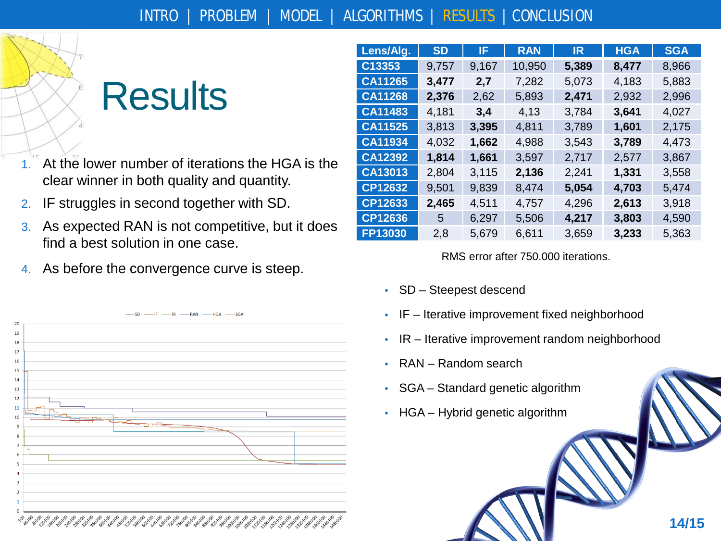## **Results**

- 1. At the lower number of iterations the HGA is the clear winner in both quality and quantity.
- 2. IF struggles in second together with SD.
- 3. As expected RAN is not competitive, but it does find a best solution in one case.
- 4. As before the convergence curve is steep.



| Lens/Alg.      | <b>SD</b> | IF.   | <b>RAN</b> | IR.   | <b>HGA</b> | <b>SGA</b> |
|----------------|-----------|-------|------------|-------|------------|------------|
| C13353         | 9,757     | 9,167 | 10,950     | 5,389 | 8,477      | 8,966      |
| CA11265        | 3,477     | 2,7   | 7,282      | 5,073 | 4,183      | 5,883      |
| CA11268        | 2,376     | 2,62  | 5,893      | 2,471 | 2,932      | 2,996      |
| CA11483        | 4,181     | 3,4   | 4,13       | 3,784 | 3,641      | 4,027      |
| CA11525        | 3,813     | 3,395 | 4,811      | 3,789 | 1,601      | 2,175      |
| CA11934        | 4,032     | 1,662 | 4,988      | 3,543 | 3,789      | 4,473      |
| CA12392        | 1,814     | 1,661 | 3,597      | 2,717 | 2,577      | 3,867      |
| CA13013        | 2,804     | 3,115 | 2,136      | 2,241 | 1,331      | 3,558      |
| <b>CP12632</b> | 9,501     | 9,839 | 8,474      | 5,054 | 4,703      | 5,474      |
| CP12633        | 2,465     | 4,511 | 4,757      | 4,296 | 2,613      | 3,918      |
| CP12636        | 5         | 6,297 | 5,506      | 4,217 | 3,803      | 4,590      |
| FP13030        | 2,8       | 5,679 | 6,611      | 3,659 | 3,233      | 5,363      |

#### RMS error after 750.000 iterations.

- SD Steepest descend
- IF Iterative improvement fixed neighborhood
- IR Iterative improvement random neighborhood

**14/15**

- RAN Random search
- SGA Standard genetic algorithm
- HGA Hybrid genetic algorithm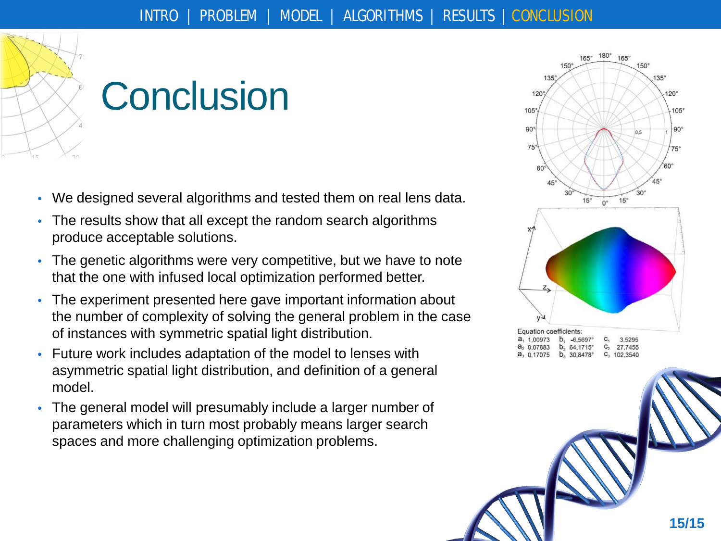

# **Conclusion**

- We designed several algorithms and tested them on real lens data.
- The results show that all except the random search algorithms produce acceptable solutions.
- The genetic algorithms were very competitive, but we have to note that the one with infused local optimization performed better.
- The experiment presented here gave important information about the number of complexity of solving the general problem in the case of instances with symmetric spatial light distribution.
- Future work includes adaptation of the model to lenses with asymmetric spatial light distribution, and definition of a general model.
- The general model will presumably include a larger number of parameters which in turn most probably means larger search spaces and more challenging optimization problems.